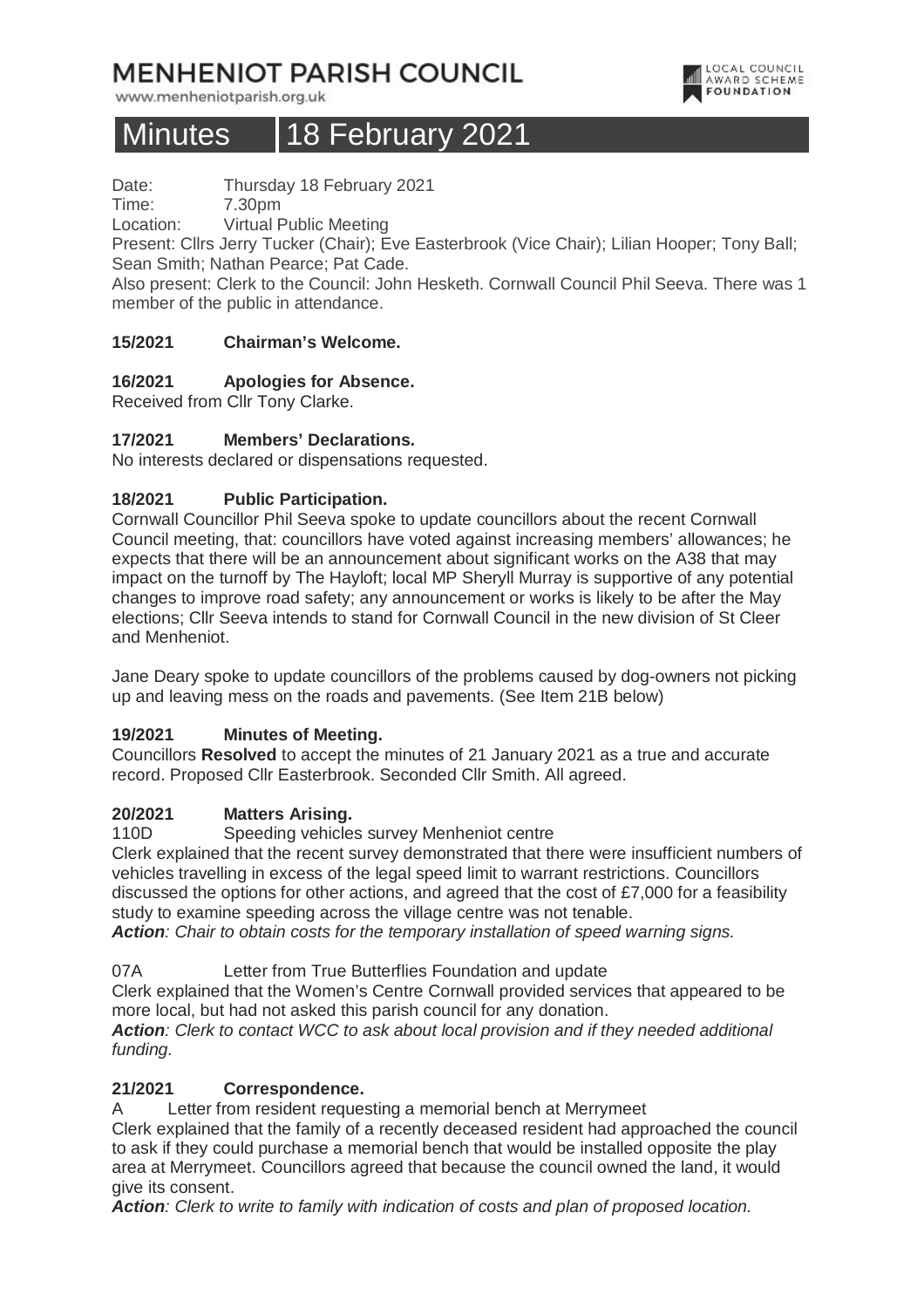# **MENHENIOT PARISH COUNCIL**

www.menheniotparish.org.uk

# Minutes 18 February 2021

LOCAL COUNCIL<br>AWARD SCHEME **FOUNDATION** 

Date: Thursday 18 February 2021

Time: 7.30pm

Location: Virtual Public Meeting

Present: Cllrs Jerry Tucker (Chair); Eve Easterbrook (Vice Chair); Lilian Hooper; Tony Ball; Sean Smith; Nathan Pearce; Pat Cade.

Also present: Clerk to the Council: John Hesketh. Cornwall Council Phil Seeva. There was 1 member of the public in attendance.

## **15/2021 Chairman's Welcome.**

## **16/2021 Apologies for Absence.**

Received from Cllr Tony Clarke.

## **17/2021 Members' Declarations.**

No interests declared or dispensations requested.

## **18/2021 Public Participation.**

Cornwall Councillor Phil Seeva spoke to update councillors about the recent Cornwall Council meeting, that: councillors have voted against increasing members' allowances; he expects that there will be an announcement about significant works on the A38 that may impact on the turnoff by The Hayloft; local MP Sheryll Murray is supportive of any potential changes to improve road safety; any announcement or works is likely to be after the May elections; Cllr Seeva intends to stand for Cornwall Council in the new division of St Cleer and Menheniot.

Jane Deary spoke to update councillors of the problems caused by dog-owners not picking up and leaving mess on the roads and pavements. (See Item 21B below)

# **19/2021 Minutes of Meeting.**

Councillors **Resolved** to accept the minutes of 21 January 2021 as a true and accurate record. Proposed Cllr Easterbrook. Seconded Cllr Smith. All agreed.

## **20/2021 Matters Arising.**

110D Speeding vehicles survey Menheniot centre

Clerk explained that the recent survey demonstrated that there were insufficient numbers of vehicles travelling in excess of the legal speed limit to warrant restrictions. Councillors discussed the options for other actions, and agreed that the cost of £7,000 for a feasibility study to examine speeding across the village centre was not tenable.

**Action**: Chair to obtain costs for the temporary installation of speed warning signs.

07A Letter from True Butterflies Foundation and update

Clerk explained that the Women's Centre Cornwall provided services that appeared to be more local, but had not asked this parish council for any donation.

**Action**: Clerk to contact WCC to ask about local provision and if they needed additional funding.

## **21/2021 Correspondence.**

A Letter from resident requesting a memorial bench at Merrymeet

Clerk explained that the family of a recently deceased resident had approached the council to ask if they could purchase a memorial bench that would be installed opposite the play area at Merrymeet. Councillors agreed that because the council owned the land, it would give its consent.

**Action**: Clerk to write to family with indication of costs and plan of proposed location.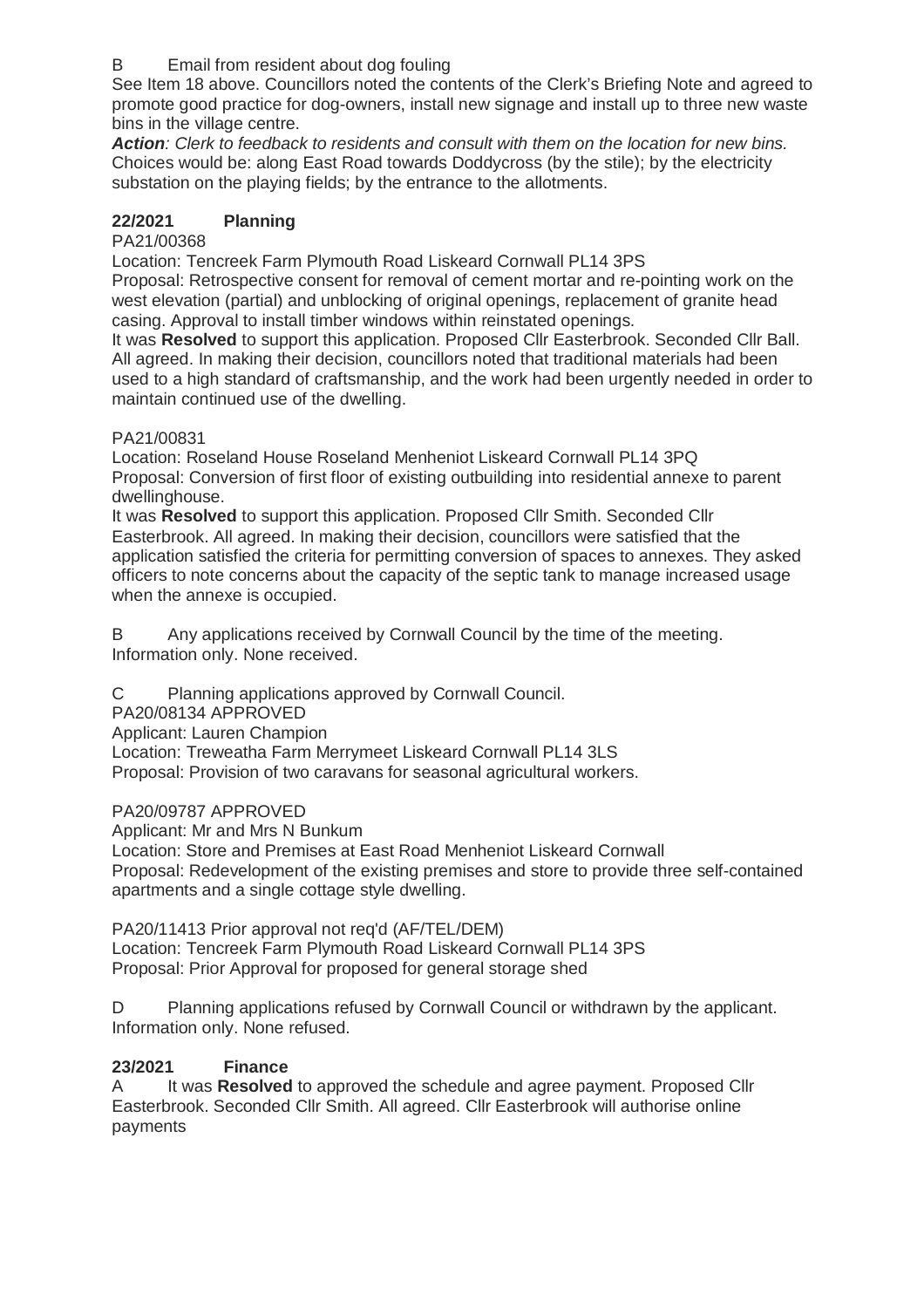## B Email from resident about dog fouling

See Item 18 above. Councillors noted the contents of the Clerk's Briefing Note and agreed to promote good practice for dog-owners, install new signage and install up to three new waste bins in the village centre.

**Action**: Clerk to feedback to residents and consult with them on the location for new bins. Choices would be: along East Road towards Doddycross (by the stile); by the electricity substation on the playing fields; by the entrance to the allotments.

## **22/2021 Planning**

## PA21/00368

Location: Tencreek Farm Plymouth Road Liskeard Cornwall PL14 3PS Proposal: Retrospective consent for removal of cement mortar and re-pointing work on the west elevation (partial) and unblocking of original openings, replacement of granite head casing. Approval to install timber windows within reinstated openings.

It was **Resolved** to support this application. Proposed Cllr Easterbrook. Seconded Cllr Ball. All agreed. In making their decision, councillors noted that traditional materials had been used to a high standard of craftsmanship, and the work had been urgently needed in order to maintain continued use of the dwelling.

## PA21/00831

Location: Roseland House Roseland Menheniot Liskeard Cornwall PL14 3PQ Proposal: Conversion of first floor of existing outbuilding into residential annexe to parent dwellinghouse.

It was **Resolved** to support this application. Proposed Cllr Smith. Seconded Cllr Easterbrook. All agreed. In making their decision, councillors were satisfied that the application satisfied the criteria for permitting conversion of spaces to annexes. They asked officers to note concerns about the capacity of the septic tank to manage increased usage when the annexe is occupied.

B Any applications received by Cornwall Council by the time of the meeting. Information only. None received.

C Planning applications approved by Cornwall Council.

PA20/08134 APPROVED

Applicant: Lauren Champion

Location: Treweatha Farm Merrymeet Liskeard Cornwall PL14 3LS

Proposal: Provision of two caravans for seasonal agricultural workers.

## PA20/09787 APPROVED

Applicant: Mr and Mrs N Bunkum

Location: Store and Premises at East Road Menheniot Liskeard Cornwall Proposal: Redevelopment of the existing premises and store to provide three self-contained apartments and a single cottage style dwelling.

PA20/11413 Prior approval not req'd (AF/TEL/DEM) Location: Tencreek Farm Plymouth Road Liskeard Cornwall PL14 3PS Proposal: Prior Approval for proposed for general storage shed

D Planning applications refused by Cornwall Council or withdrawn by the applicant. Information only. None refused.

# **23/2021 Finance**

A It was **Resolved** to approved the schedule and agree payment. Proposed Cllr Easterbrook. Seconded Cllr Smith. All agreed. Cllr Easterbrook will authorise online payments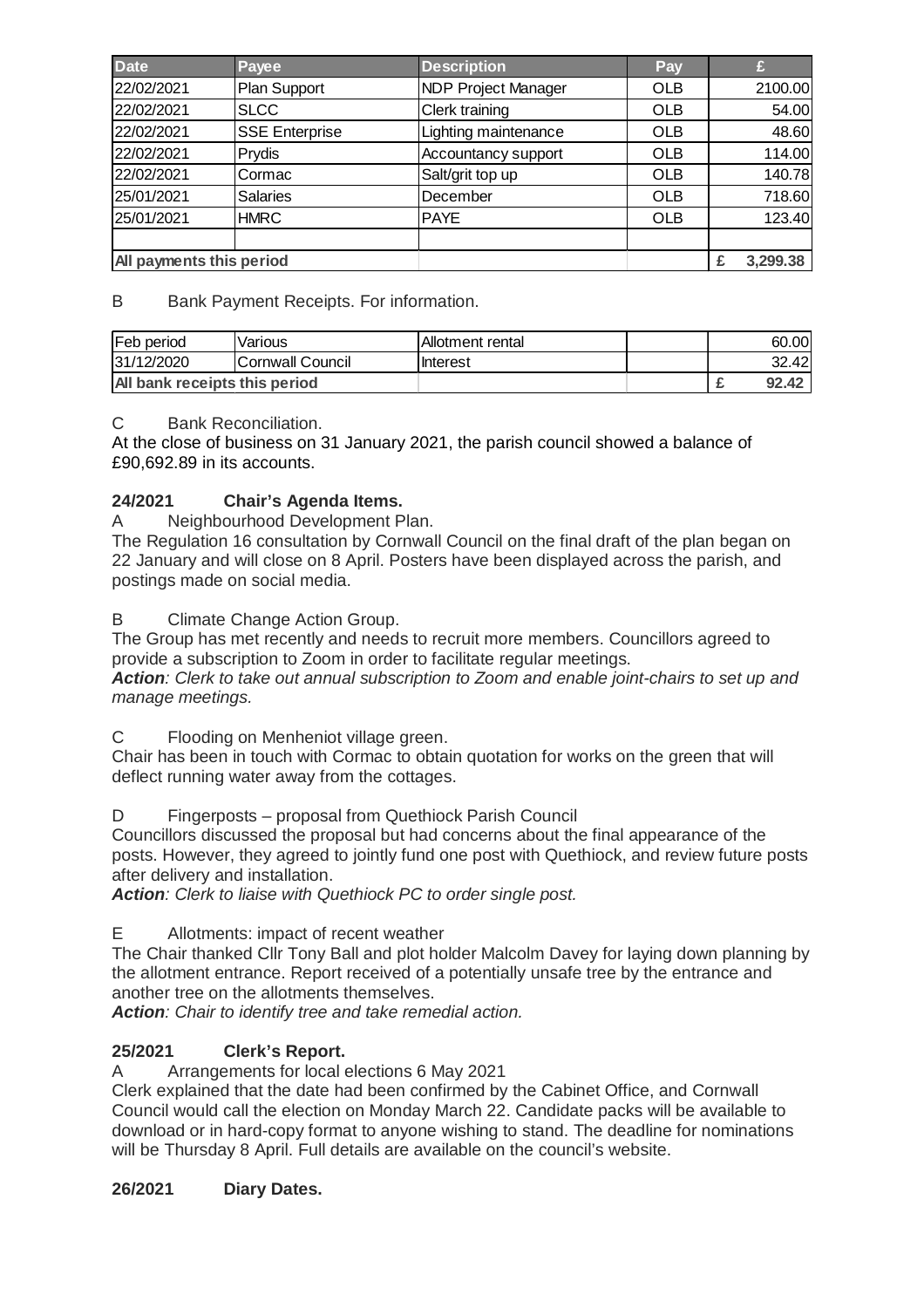| <b>Date</b>              | Payee                 | <b>Description</b>         | Pay           |         |
|--------------------------|-----------------------|----------------------------|---------------|---------|
| 22/02/2021               | Plan Support          | <b>NDP Project Manager</b> | <b>OLB</b>    | 2100.00 |
| 22/02/2021               | <b>SLCC</b>           | Clerk training             | <b>OLB</b>    | 54.00   |
| 22/02/2021               | <b>SSE Enterprise</b> | Lighting maintenance       | <b>OLB</b>    | 48.60   |
| 22/02/2021               | Prydis                | Accountancy support        | <b>OLB</b>    | 114.00  |
| 22/02/2021               | Cormac                | Salt/grit top up           | <b>OLB</b>    | 140.78  |
| 25/01/2021               | <b>Salaries</b>       | December                   | <b>OLB</b>    | 718.60  |
| 25/01/2021               | <b>HMRC</b>           | <b>PAYE</b>                | <b>OLB</b>    | 123.40  |
|                          |                       |                            |               |         |
| All payments this period |                       |                            | 3,299.38<br>£ |         |

B Bank Payment Receipts. For information.

| Feb period                           | Various          | Allotment rental |  | 60.00 |
|--------------------------------------|------------------|------------------|--|-------|
| 31/12/2020                           | Cornwall Council | <b>Interest</b>  |  | 32.42 |
| <b>All bank receipts this period</b> |                  |                  |  | 92.42 |

## C Bank Reconciliation.

At the close of business on 31 January 2021, the parish council showed a balance of £90,692.89 in its accounts.

## **24/2021 Chair's Agenda Items.**

A Neighbourhood Development Plan.

The Regulation 16 consultation by Cornwall Council on the final draft of the plan began on 22 January and will close on 8 April. Posters have been displayed across the parish, and postings made on social media.

B Climate Change Action Group.

The Group has met recently and needs to recruit more members. Councillors agreed to provide a subscription to Zoom in order to facilitate regular meetings.

**Action**: Clerk to take out annual subscription to Zoom and enable joint-chairs to set up and manage meetings.

C Flooding on Menheniot village green.

Chair has been in touch with Cormac to obtain quotation for works on the green that will deflect running water away from the cottages.

D Fingerposts – proposal from Quethiock Parish Council

Councillors discussed the proposal but had concerns about the final appearance of the posts. However, they agreed to jointly fund one post with Quethiock, and review future posts after delivery and installation.

**Action**: Clerk to liaise with Quethiock PC to order single post.

E Allotments: impact of recent weather

The Chair thanked Cllr Tony Ball and plot holder Malcolm Davey for laying down planning by the allotment entrance. Report received of a potentially unsafe tree by the entrance and another tree on the allotments themselves.

**Action**: Chair to identify tree and take remedial action.

## **25/2021 Clerk's Report.**

A Arrangements for local elections 6 May 2021

Clerk explained that the date had been confirmed by the Cabinet Office, and Cornwall Council would call the election on Monday March 22. Candidate packs will be available to download or in hard-copy format to anyone wishing to stand. The deadline for nominations will be Thursday 8 April. Full details are available on the council's website.

## **26/2021 Diary Dates.**